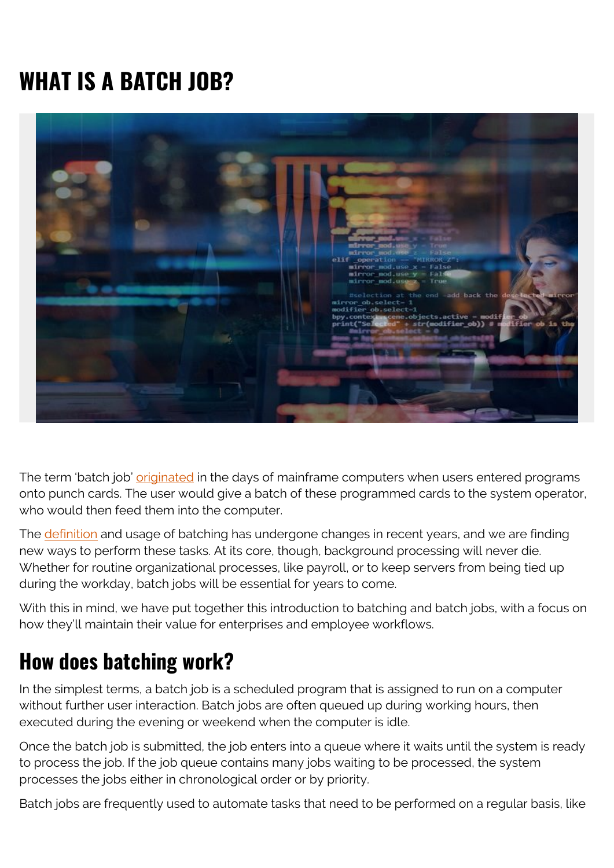# **WHAT IS A BATCH JOB?**



The term 'batch job' *originated* in the days of mainframe computers when users entered programs onto punch cards. The user would give a batch of these programmed cards to the system operator, who would then feed them into the computer.

The [definition](https://www.techopedia.com/definition/28727/batch-job-sap) and usage of batching has undergone changes in recent years, and we are finding new ways to perform these tasks. At its core, though, background processing will never die. Whether for routine organizational processes, like payroll, or to keep servers from being tied up during the workday, batch jobs will be essential for years to come.

With this in mind, we have put together this introduction to batching and batch jobs, with a focus on how they'll maintain their value for enterprises and employee workflows.

### **How does batching work?**

In the simplest terms, a batch job is a scheduled program that is assigned to run on a computer without further user interaction. Batch jobs are often queued up during working hours, then executed during the evening or weekend when the computer is idle.

Once the batch job is submitted, the job enters into a queue where it waits until the system is ready to process the job. If the job queue contains many jobs waiting to be processed, the system processes the jobs either in chronological order or by priority.

Batch jobs are frequently used to automate tasks that need to be performed on a regular basis, like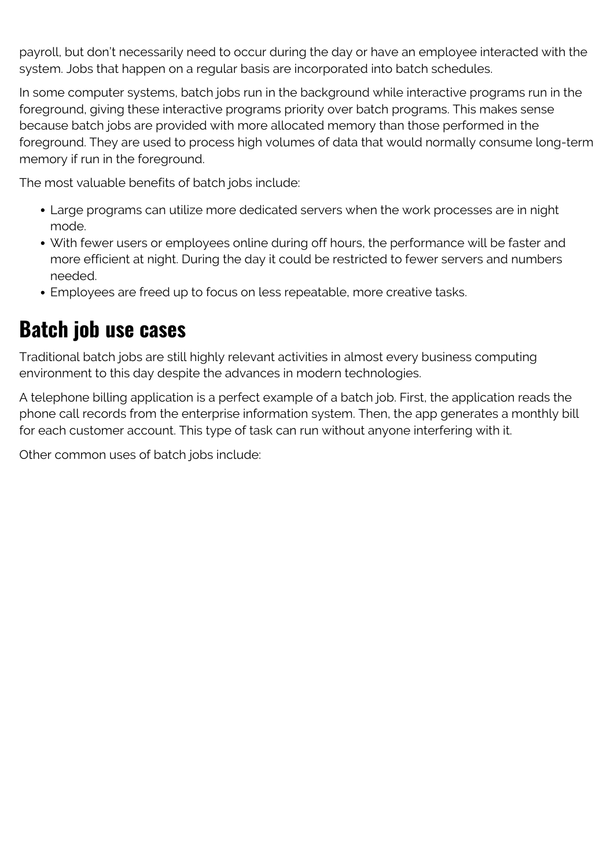payroll, but don't necessarily need to occur during the day or have an employee interacted with the system. Jobs that happen on a regular basis are incorporated into batch schedules.

In some computer systems, batch jobs run in the background while interactive programs run in the foreground, giving these interactive programs priority over batch programs. This makes sense because batch jobs are provided with more allocated memory than those performed in the foreground. They are used to process high volumes of data that would normally consume long-term memory if run in the foreground.

The most valuable benefits of batch jobs include:

- Large programs can utilize more dedicated servers when the work processes are in night mode.
- With fewer users or employees online during off hours, the performance will be faster and more efficient at night. During the day it could be restricted to fewer servers and numbers needed.
- Employees are freed up to focus on less repeatable, more creative tasks.

#### **Batch job use cases**

Traditional batch jobs are still highly relevant activities in almost every business computing environment to this day despite the advances in modern technologies.

A telephone billing application is a perfect example of a batch job. First, the application reads the phone call records from the enterprise information system. Then, the app generates a monthly bill for each customer account. This type of task can run without anyone interfering with it.

Other common uses of batch jobs include: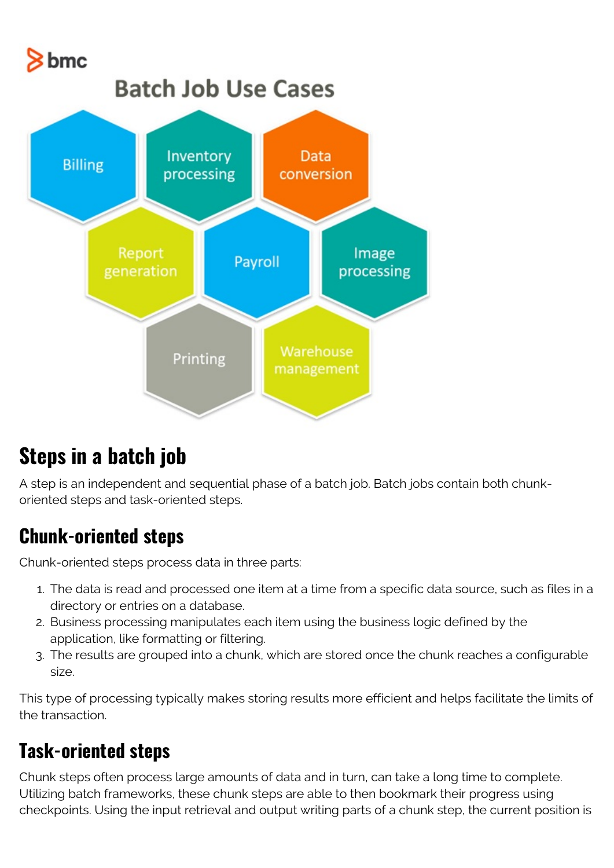

## **Steps in a batch job**

A step is an independent and sequential phase of a batch job. Batch jobs contain both chunkoriented steps and task-oriented steps.

#### **Chunk-oriented steps**

Chunk-oriented steps process data in three parts:

- 1. The data is read and processed one item at a time from a specific data source, such as files in a directory or entries on a database.
- 2. Business processing manipulates each item using the business logic defined by the application, like formatting or filtering.
- 3. The results are grouped into a chunk, which are stored once the chunk reaches a configurable size.

This type of processing typically makes storing results more efficient and helps facilitate the limits of the transaction.

#### **Task-oriented steps**

Chunk steps often process large amounts of data and in turn, can take a long time to complete. Utilizing batch frameworks, these chunk steps are able to then bookmark their progress using checkpoints. Using the input retrieval and output writing parts of a chunk step, the current position is